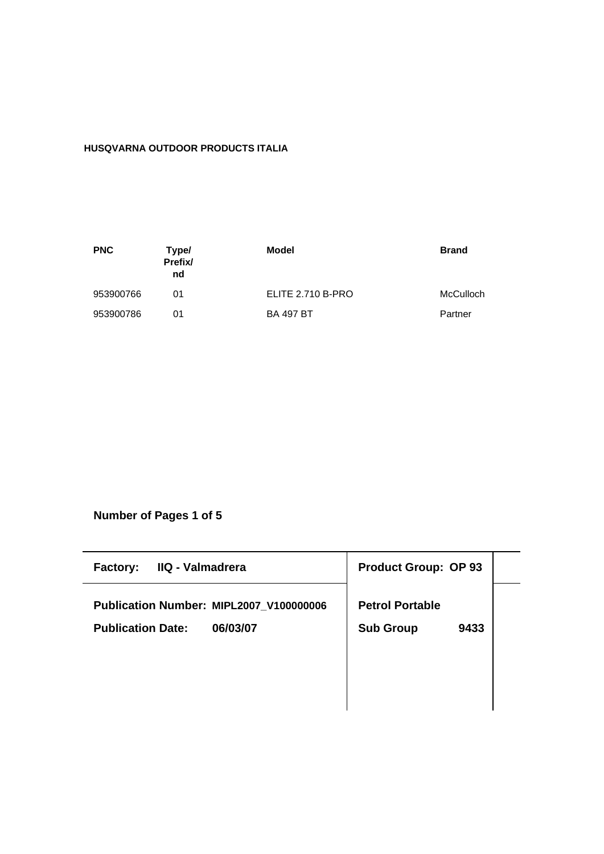# **HUSQVARNA OUTDOOR PRODUCTS ITALIA**

| <b>PNC</b> | Type/<br>Prefix/<br>nd | Model             | <b>Brand</b> |
|------------|------------------------|-------------------|--------------|
| 953900766  | 01                     | ELITE 2.710 B-PRO | McCulloch    |
| 953900786  | 01                     | <b>BA 497 BT</b>  | Partner      |

**Number of Pages 1 of 5**

| IIQ - Valmadrera<br><b>Factory:</b>     | <b>Product Group: OP 93</b> |
|-----------------------------------------|-----------------------------|
| Publication Number: MIPL2007_V100000006 | <b>Petrol Portable</b>      |
| <b>Publication Date:</b><br>06/03/07    | <b>Sub Group</b><br>9433    |
|                                         |                             |
|                                         |                             |
|                                         |                             |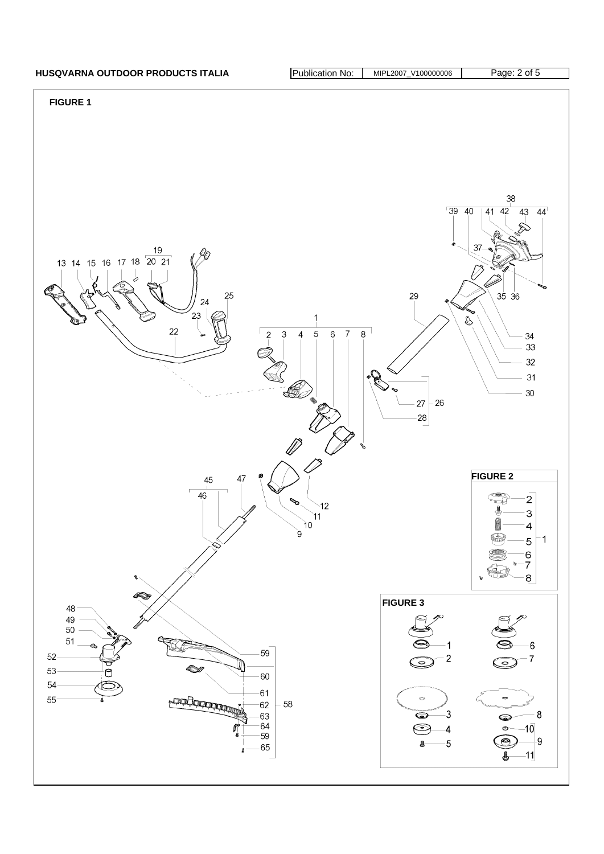# HUSQVARNA OUTDOOR PRODUCTS ITALIA **Publication No: MIPL2007\_V100000006** Page: 2 of 5

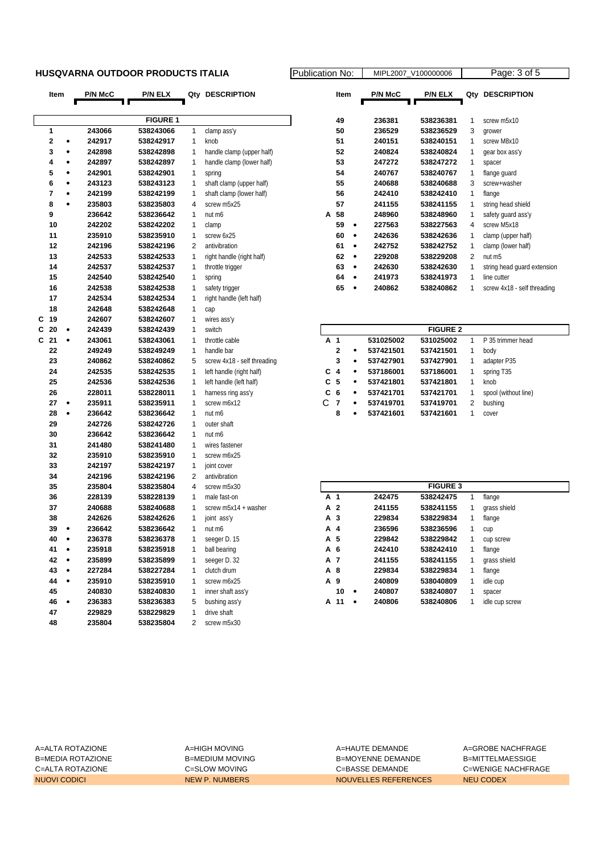## **HUSQVARNA OUTDOOR PRODUCTS ITALIA** Public

| Item                 | <b>P/N McC</b> | P/N ELX         |                | Qty DESCRIPTION             |   | Item                    |           | P/N McC   | <b>P/N ELX</b>  |                         | Qty DESCRIPTION                          |
|----------------------|----------------|-----------------|----------------|-----------------------------|---|-------------------------|-----------|-----------|-----------------|-------------------------|------------------------------------------|
|                      |                |                 |                |                             |   |                         |           |           |                 |                         |                                          |
|                      |                | <b>FIGURE 1</b> |                |                             |   | 49                      |           | 236381    | 538236381       | 1                       | screw m5x10                              |
| 1                    | 243066         | 538243066       | $\mathbf{1}$   | clamp ass'y                 |   | 50                      |           | 236529    | 538236529       | 3                       | grower                                   |
| 2<br>٠               | 242917         | 538242917       | $\mathbf{1}$   | knob                        |   | 51                      |           | 240151    | 538240151       | 1                       | screw M8x10                              |
| 3<br>۰               | 242898         | 538242898       | 1              | handle clamp (upper half)   |   | 52                      |           | 240824    | 538240824       | 1                       | qear box ass'y                           |
| 4<br>٠               | 242897         | 538242897       | 1              | handle clamp (lower half)   |   | 53                      |           | 247272    | 538247272       | 1                       | spacer                                   |
| 5<br>۰               | 242901         | 538242901       | 1              | spring                      |   | 54                      |           | 240767    | 538240767       | 1                       | flange guard                             |
| 6<br>٠               | 243123         | 538243123       | 1              | shaft clamp (upper half)    |   | 55                      |           | 240688    | 538240688       | 3                       | screw+washer                             |
| 7<br>٠               | 242199         | 538242199       | $\mathbf 1$    | shaft clamp (lower half)    |   | 56                      |           | 242410    | 538242410       | 1                       | flange                                   |
| 8<br>٠               | 235803         | 538235803       | $\overline{4}$ | screw m5x25                 |   | 57                      |           | 241155    | 538241155       | 1                       |                                          |
| 9                    | 236642         | 538236642       | $\mathbf{1}$   | nut m6                      | А | 58                      |           | 248960    | 538248960       | 1                       | string head shield<br>safety quard ass'y |
| 10                   | 242202         |                 |                |                             |   | 59                      | $\bullet$ | 227563    |                 |                         | screw M5x18                              |
| 11                   |                | 538242202       | 1<br>1         | clamp<br>screw 6x25         |   | 60                      | $\bullet$ | 242636    | 538227563       | 4<br>$\mathbf 1$        |                                          |
|                      | 235910         | 538235910       |                |                             |   |                         |           |           | 538242636       |                         | clamp (upper half)                       |
| 12                   | 242196         | 538242196       | $\overline{2}$ | antivibration               |   | 61                      | $\bullet$ | 242752    | 538242752       | $\mathbf{1}$            | clamp (lower half)                       |
| 13                   | 242533         | 538242533       | 1              | right handle (right half)   |   | 62                      | $\bullet$ | 229208    | 538229208       | 2                       | nut m5                                   |
| 14                   | 242537         | 538242537       | $\mathbf 1$    | throttle trigger            |   | 63                      | $\bullet$ | 242630    | 538242630       | 1                       | string head guard extension              |
| 15                   | 242540         | 538242540       | 1              | spring                      |   | 64                      | $\bullet$ | 241973    | 538241973       | $\mathbf{1}$            | line cutter                              |
| 16                   | 242538         | 538242538       | 1              | safety trigger              |   | 65                      | $\bullet$ | 240862    | 538240862       | 1                       | screw 4x18 - self threading              |
| 17                   | 242534         | 538242534       | 1              | right handle (left half)    |   |                         |           |           |                 |                         |                                          |
| 18                   | 242648         | 538242648       | $\mathbf{1}$   | cap                         |   |                         |           |           |                 |                         |                                          |
| С<br>-19             | 242607         | 538242607       | $\mathbf 1$    | wires ass'y                 |   |                         |           |           |                 |                         |                                          |
| 20<br>C<br>$\bullet$ | 242439         | 538242439       | $\mathbf{1}$   | switch                      |   |                         |           |           | <b>FIGURE 2</b> |                         |                                          |
| C<br>21<br>$\bullet$ | 243061         | 538243061       | 1              | throttle cable              |   | A 1                     |           | 531025002 | 531025002       | $\mathbf{1}$            | P 35 trimmer head                        |
| 22                   | 249249         | 538249249       | $\mathbf 1$    | handle bar                  |   | 2                       | $\bullet$ | 537421501 | 537421501       | 1                       | body                                     |
| 23                   | 240862         | 538240862       | 5              | screw 4x18 - self threading |   | 3                       | $\bullet$ | 537427901 | 537427901       | 1                       | adapter P35                              |
| 24                   | 242535         | 538242535       | 1              | left handle (right half)    | C | $\overline{\mathbf{4}}$ | $\bullet$ | 537186001 | 537186001       | 1                       | spring T35                               |
| 25                   | 242536         | 538242536       | $\mathbf 1$    | left handle (left half)     | C | 5                       | $\bullet$ | 537421801 | 537421801       | 1                       | knob                                     |
| 26                   | 228011         | 538228011       | $\mathbf 1$    | harness ring ass'y          | C | 6                       | ۰         | 537421701 | 537421701       | 1                       | spool (without line)                     |
| 27<br>$\bullet$      | 235911         | 538235911       | $\mathbf 1$    | screw m6x12                 | C | $\overline{7}$          | ٠         | 537419701 | 537419701       | $\overline{\mathbf{c}}$ | bushing                                  |
| 28<br>$\bullet$      | 236642         | 538236642       | $\mathbf{1}$   | nut m6                      |   | 8                       | ٠         | 537421601 | 537421601       | 1                       | cover                                    |
| 29                   | 242726         | 538242726       | $\mathbf{1}$   | outer shaft                 |   |                         |           |           |                 |                         |                                          |
| 30                   | 236642         | 538236642       | $\mathbf{1}$   | nut m6                      |   |                         |           |           |                 |                         |                                          |
| 31                   | 241480         | 538241480       | $\mathbf{1}$   | wires fastener              |   |                         |           |           |                 |                         |                                          |
| 32                   | 235910         | 538235910       | $\mathbf{1}$   | screw m6x25                 |   |                         |           |           |                 |                         |                                          |
| 33                   | 242197         | 538242197       | 1              | joint cover                 |   |                         |           |           |                 |                         |                                          |
| 34                   | 242196         | 538242196       | 2              | antivibration               |   |                         |           |           |                 |                         |                                          |
| 35                   | 235804         | 538235804       | 4              | screw m5x30                 |   |                         |           |           | <b>FIGURE 3</b> |                         |                                          |
| 36                   | 228139         | 538228139       | 1              | male fast-on                |   | A 1                     |           | 242475    | 538242475       | 1                       | flange                                   |
| 37                   | 240688         | 538240688       | $\mathbf 1$    | screw m5x14 + washer        |   | A 2                     |           | 241155    | 538241155       | 1                       | grass shield                             |
| 38                   | 242626         | 538242626       | $\mathbf 1$    | joint ass'y                 |   | A 3                     |           | 229834    | 538229834       | 1                       | flange                                   |
| 39<br>٠              | 236642         | 538236642       | 1              | nut m6                      |   | A 4                     |           | 236596    | 538236596       | 1                       | cup                                      |
| 40<br>$\bullet$      | 236378         | 538236378       | $\mathbf{1}$   | seeger D. 15                |   | A 5                     |           | 229842    | 538229842       | 1                       | cup screw                                |
| 41<br>$\bullet$      | 235918         | 538235918       | 1              | ball bearing                |   | A 6                     |           | 242410    | 538242410       | 1                       | flange                                   |
| 42<br>$\bullet$      | 235899         | 538235899       | 1              | seeger D. 32                |   | A 7                     |           | 241155    | 538241155       |                         | grass shield                             |
| 43<br>٠              | 227284         | 538227284       | 1              | clutch drum                 |   | A 8                     |           | 229834    | 538229834       |                         | flange                                   |
| 44<br>$\bullet$      | 235910         | 538235910       | 1              | screw m6x25                 |   | A 9                     |           | 240809    | 538040809       | 1                       | idle cup                                 |
| 45                   | 240830         | 538240830       | 1              | inner shaft ass'y           |   | 10                      | $\bullet$ | 240807    | 538240807       | 1                       | spacer                                   |
| 46<br>$\bullet$      | 236383         | 538236383       | 5              | bushing ass'y               |   | A 11 .                  |           | 240806    | 538240806       | 1                       | idle cup screw                           |
| 47                   | 229829         | 538229829       | 1              | drive shaft                 |   |                         |           |           |                 |                         |                                          |
| 48                   | 235804         | 538235804       | $\overline{2}$ | screw m5x30                 |   |                         |           |           |                 |                         |                                          |

| ation No: |                | MIPL2007 V100000006 | Page: 3 of 5 |                             |  |  |  |
|-----------|----------------|---------------------|--------------|-----------------------------|--|--|--|
| Item      | <b>P/N McC</b> | <b>P/N ELX</b>      | Qty          | <b>DESCRIPTION</b>          |  |  |  |
|           |                |                     |              |                             |  |  |  |
| 49        | 236381         | 538236381           | 1            | screw m <sub>5x10</sub>     |  |  |  |
| 50        | 236529         | 538236529           | 3            | grower                      |  |  |  |
| 51        | 240151         | 538240151           | 1            | screw M8x10                 |  |  |  |
| 52        | 240824         | 538240824           | 1            | gear box ass'y              |  |  |  |
| 53        | 247272         | 538247272           | 1            | spacer                      |  |  |  |
| 54        | 240767         | 538240767           | 1            | flange guard                |  |  |  |
| 55        | 240688         | 538240688           | 3            | screw+washer                |  |  |  |
| 56        | 242410         | 538242410           | 1            | flange                      |  |  |  |
| 57        | 241155         | 538241155           | 1            | string head shield          |  |  |  |
| 58<br>A   | 248960         | 538248960           | 1            | safety quard ass'y          |  |  |  |
| 59        | 227563         | 538227563           | 4            | screw M5x18                 |  |  |  |
| 60        | 242636         | 538242636           | 1            | clamp (upper half)          |  |  |  |
| 61        | 242752         | 538242752           | 1            | clamp (lower half)          |  |  |  |
| 62        | 229208         | 538229208           | 2            | nut m <sub>5</sub>          |  |  |  |
| 63        | 242630         | 538242630           | 1            | string head quard extension |  |  |  |
| 64        | 241973         | 538241973           | 1            | line cutter                 |  |  |  |
| 65        | 240862         | 538240862           | 1            | screw 4x18 - self threading |  |  |  |

| <b>FIGURE 2</b> |                |   |           |           |   |                      |  |  |  |  |  |  |
|-----------------|----------------|---|-----------|-----------|---|----------------------|--|--|--|--|--|--|
|                 | A 1            |   | 531025002 | 531025002 |   | P 35 trimmer head    |  |  |  |  |  |  |
|                 | $\mathbf{2}$   | ٠ | 537421501 | 537421501 | 1 | body                 |  |  |  |  |  |  |
|                 | 3              | ٠ | 537427901 | 537427901 | 1 | adapter P35          |  |  |  |  |  |  |
| C 4             |                | ٠ | 537186001 | 537186001 | 1 | spring T35           |  |  |  |  |  |  |
|                 | C 5            | ٠ | 537421801 | 537421801 | 1 | knob                 |  |  |  |  |  |  |
|                 | C <sub>6</sub> | ٠ | 537421701 | 537421701 |   | spool (without line) |  |  |  |  |  |  |
| C               | 7              | ٠ | 537419701 | 537419701 | 2 | bushing              |  |  |  |  |  |  |
|                 | 8              | ٠ | 537421601 | 537421601 |   | cover                |  |  |  |  |  |  |

| <b>FIGURE 3</b> |   |        |           |   |                |  |  |  |  |  |
|-----------------|---|--------|-----------|---|----------------|--|--|--|--|--|
| A 1             |   | 242475 | 538242475 | 1 | flange         |  |  |  |  |  |
| A 2             |   | 241155 | 538241155 | 1 | grass shield   |  |  |  |  |  |
| A 3             |   | 229834 | 538229834 | 1 | flange         |  |  |  |  |  |
| A 4             |   | 236596 | 538236596 | 1 | cup            |  |  |  |  |  |
| A 5             |   | 229842 | 538229842 | 1 | cup screw      |  |  |  |  |  |
| A 6             |   | 242410 | 538242410 | 1 | flange         |  |  |  |  |  |
| A 7             |   | 241155 | 538241155 | 1 | grass shield   |  |  |  |  |  |
| A 8             |   | 229834 | 538229834 | 1 | flange         |  |  |  |  |  |
| A 9             |   | 240809 | 538040809 | 1 | idle cup       |  |  |  |  |  |
| 10              | ٠ | 240807 | 538240807 | 1 | spacer         |  |  |  |  |  |
| 11<br>А         | ٠ | 240806 | 538240806 | 1 | idle cup screw |  |  |  |  |  |

A=ALTA ROTAZIONE A=HIGH MOVING A=HAUTE DEMANDE A=GROBE NACHFRAGE B=MEDIA ROTAZIONE B=MEDIUM MOVING B=MEDIUM MOVING B=MOYENNE DEMANDE C=ALTA ROTAZIONE C=SLOW MOVING C=BASSE DEMANDE C=WENIGE NACHFRAGE NUOVI CODICI NEW P. NUMBERS NOUVELLES REFERENCES NEU CODEX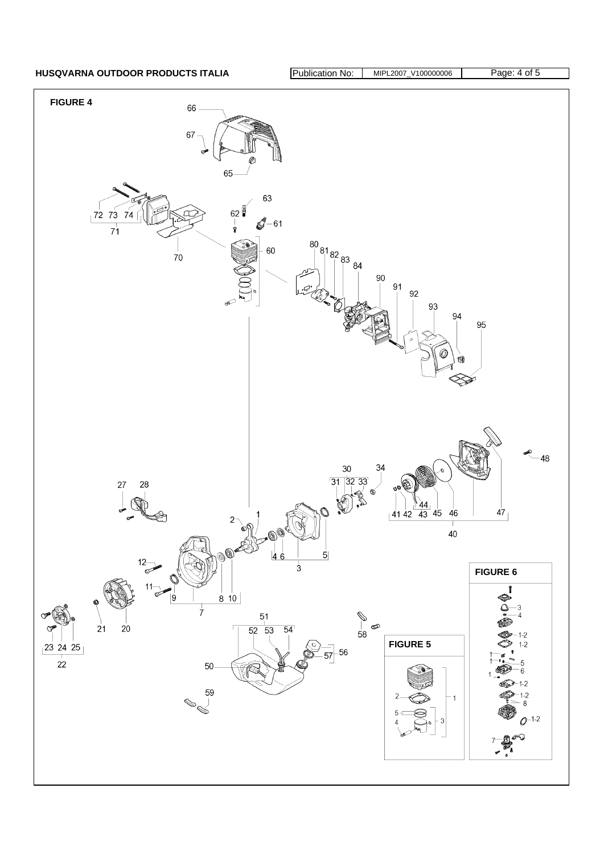HUSQVARNA OUTDOOR PRODUCTS ITALIA **Publication No: MIPL2007\_V100000006** Page: 4 of 5